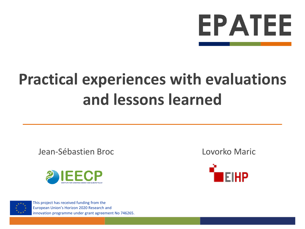

# **Practical experiences with evaluations and lessons learned**

Jean-Sébastien Broc Lovorko Maric





This project has received funding from the European Union's Horizon 2020 Research and innovation programme under grant agreement No 746265.

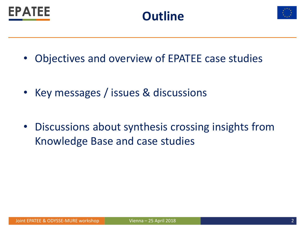





- Objectives and overview of EPATEE case studies
- Key messages / issues & discussions
- Discussions about synthesis crossing insights from Knowledge Base and case studies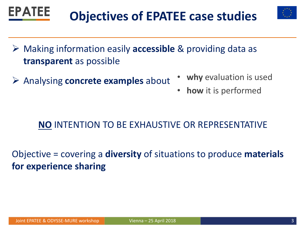EPATEE

# **Objectives of EPATEE case studies**

- Making information easily **accessible** & providing data as **transparent** as possible
- Analysing **concrete examples** about
- **why** evaluation is used
- **how** it is performed

#### **NO** INTENTION TO BE EXHAUSTIVE OR REPRESENTATIVE

Objective = covering a **diversity** of situations to produce **materials for experience sharing**

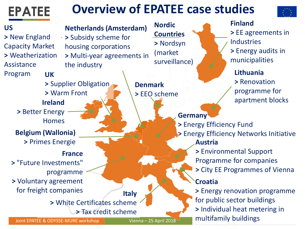

Joint EPATEE & ODYSSE-MURE workshop Vienna – 25 April 2018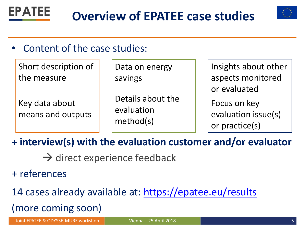



### Content of the case studies:

| Short description of<br>the measure | Data on energy<br>savings<br>Details about the<br>evaluation<br>method(s) | Insights about other<br>aspects monitored<br>or evaluated |
|-------------------------------------|---------------------------------------------------------------------------|-----------------------------------------------------------|
| Key data about<br>means and outputs |                                                                           | Focus on key<br>evaluation issue(s)<br>or practice(s)     |

**+ interview(s) with the evaluation customer and/or evaluator**

- $\rightarrow$  direct experience feedback
- + references
- 14 cases already available at: <https://epatee.eu/results> (more coming soon)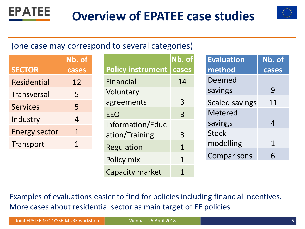



#### (one case may correspond to several categories)

|                      | Nb. of |
|----------------------|--------|
| <b>SECTOR</b>        | cases  |
| Residential          | 12     |
| <b>Transversal</b>   | 5      |
| <b>Services</b>      | 5      |
| Industry             | 4      |
| <b>Energy sector</b> | $1\,$  |
| Transport            | 1      |

|                          | Nb. of |
|--------------------------|--------|
| <b>Policy instrument</b> | cases  |
| <b>Financial</b>         | 14     |
| Voluntary                |        |
| agreements               | 3      |
| EEO                      | 3      |
| Information/Educ         |        |
| ation/Training           | 3      |
| Regulation               | 1      |
| Policy mix               | 1      |
| <b>Capacity market</b>   | 1      |

| <b>Evaluation</b>     | Nb. of |
|-----------------------|--------|
| method                | cases  |
| Deemed                |        |
| savings               | 9      |
| <b>Scaled savings</b> | 11     |
| <b>Metered</b>        |        |
| savings               | 4      |
| <b>Stock</b>          |        |
| modelling             | 1      |
| Comparisons           | 6      |

Examples of evaluations easier to find for policies including financial incentives. More cases about residential sector as main target of EE policies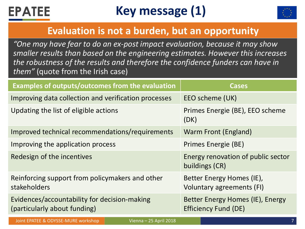

Joint EPATEE & ODYSSE-MURE workshop



#### **Evaluation is not a burden, but an opportunity**

*"One may have fear to do an ex-post impact evaluation, because it may show smaller results than based on the engineering estimates. However this increases the robustness of the results and therefore the confidence funders can have in them"* (quote from the Irish case)

| Examples of outputs/outcomes from the evaluation                             | <b>Cases</b>                                                    |
|------------------------------------------------------------------------------|-----------------------------------------------------------------|
| Improving data collection and verification processes                         | EEO scheme (UK)                                                 |
| Updating the list of eligible actions                                        | Primes Energie (BE), EEO scheme<br>(DK)                         |
| Improved technical recommendations/requirements                              | Warm Front (England)                                            |
| Improving the application process                                            | Primes Energie (BE)                                             |
| Redesign of the incentives                                                   | Energy renovation of public sector<br>buildings (CR)            |
| Reinforcing support from policymakers and other<br>stakeholders              | Better Energy Homes (IE),<br>Voluntary agreements (FI)          |
| Evidences/accountability for decision-making<br>(particularly about funding) | Better Energy Homes (IE), Energy<br><b>Efficiency Fund (DE)</b> |

Vienna – 25 April 2018 7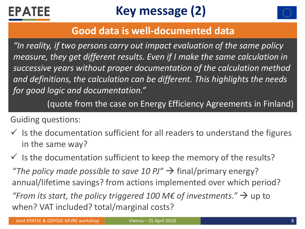



#### **Good data is well-documented data**

*"In reality, if two persons carry out impact evaluation of the same policy measure, they get different results. Even if I make the same calculation in successive years without proper documentation of the calculation method and definitions, the calculation can be different. This highlights the needs for good logic and documentation."*

(quote from the case on Energy Efficiency Agreements in Finland)

Guiding questions:

 $\checkmark$  is the documentation sufficient for all readers to understand the figures in the same way?

 $\checkmark$  Is the documentation sufficient to keep the memory of the results? *"The policy made possible to save 10 PJ"*  $\rightarrow$  final/primary energy? annual/lifetime savings? from actions implemented over which period? *"From its start, the policy triggered 100 M€ of investments."*  $\rightarrow$  up to when? VAT included? total/marginal costs?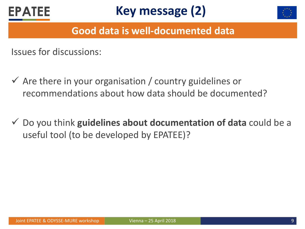





#### **Good data is well-documented data**

Issues for discussions:

- $\checkmark$  Are there in your organisation / country guidelines or recommendations about how data should be documented?
- Do you think **guidelines about documentation of data** could be a useful tool (to be developed by EPATEE)?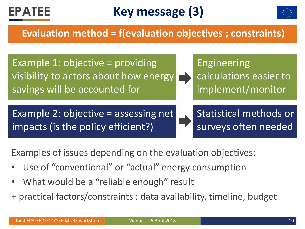



#### **Evaluation method = f(evaluation objectives ; constraints)**



Examples of issues depending on the evaluation objectives:

- Use of "conventional" or "actual" energy consumption
- What would be a "reliable enough" result
- + practical factors/constraints : data availability, timeline, budget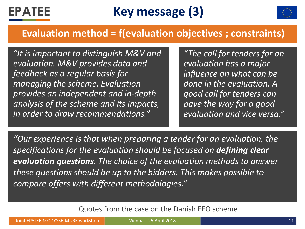



#### **Evaluation method = f(evaluation objectives ; constraints)**

*"It is important to distinguish M&V and evaluation. M&V provides data and feedback as a regular basis for managing the scheme. Evaluation provides an independent and in-depth analysis of the scheme and its impacts, in order to draw recommendations."*

*"The call for tenders for an evaluation has a major influence on what can be done in the evaluation. A good call for tenders can pave the way for a good evaluation and vice versa."*

*"Our experience is that when preparing a tender for an evaluation, the specifications for the evaluation should be focused on defining clear evaluation questions. The choice of the evaluation methods to answer these questions should be up to the bidders. This makes possible to compare offers with different methodologies."*

Quotes from the case on the Danish EEO scheme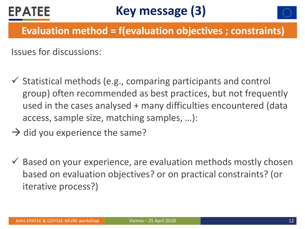# **EPATEE**



### **Evaluation method = f(evaluation objectives ; constraints)**

Issues for discussions:

- $\checkmark$  Statistical methods (e.g., comparing participants and control group) often recommended as best practices, but not frequently used in the cases analysed + many difficulties encountered (data access, sample size, matching samples, …):
- $\rightarrow$  did you experience the same?
- $\checkmark$  Based on your experience, are evaluation methods mostly chosen based on evaluation objectives? or on practical constraints? (or iterative process?)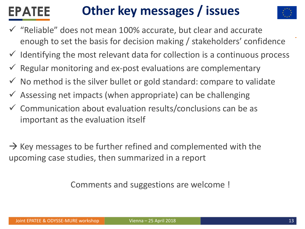#### **Other key messages / issues EPATEE**



- "Reliable" does not mean 100% accurate, but clear and accurate enough to set the basis for decision making / stakeholders' confidence
- $\checkmark$  Identifying the most relevant data for collection is a continuous process
- $\checkmark$  Regular monitoring and ex-post evaluations are complementary
- $\checkmark$  No method is the silver bullet or gold standard: compare to validate
- $\checkmark$  Assessing net impacts (when appropriate) can be challenging
- $\checkmark$  Communication about evaluation results/conclusions can be as important as the evaluation itself

 $\rightarrow$  Key messages to be further refined and complemented with the upcoming case studies, then summarized in a report

Comments and suggestions are welcome !